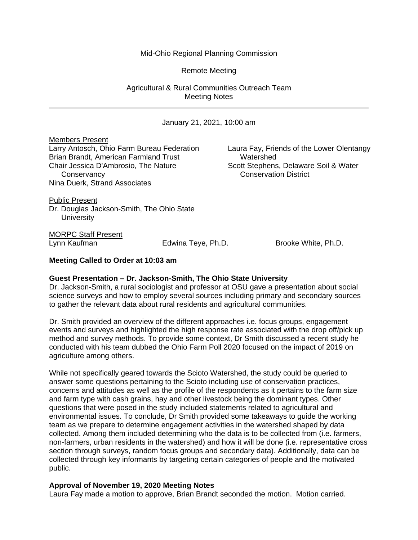## Mid-Ohio Regional Planning Commission

Remote Meeting

Agricultural & Rural Communities Outreach Team Meeting Notes

January 21, 2021, 10:00 am

Members Present Larry Antosch, Ohio Farm Bureau Federation Laura Fay, Friends of the Lower Olentangy Brian Brandt, American Farmland Trust Watershed Chair Jessica D'Ambrosio, The Nature Scott Stephens, Delaware Soil & Water Conservancy Conservation District Nina Duerk, Strand Associates

Public Present Dr. Douglas Jackson-Smith, The Ohio State **University** 

MORPC Staff Present

Lynn Kaufman Edwina Teye, Ph.D. Brooke White, Ph.D.

## **Meeting Called to Order at 10:03 am**

#### **Guest Presentation – Dr. Jackson-Smith, The Ohio State University**

Dr. Jackson-Smith, a rural sociologist and professor at OSU gave a presentation about social science surveys and how to employ several sources including primary and secondary sources to gather the relevant data about rural residents and agricultural communities.

Dr. Smith provided an overview of the different approaches i.e. focus groups, engagement events and surveys and highlighted the high response rate associated with the drop off/pick up method and survey methods. To provide some context, Dr Smith discussed a recent study he conducted with his team dubbed the Ohio Farm Poll 2020 focused on the impact of 2019 on agriculture among others.

While not specifically geared towards the Scioto Watershed, the study could be queried to answer some questions pertaining to the Scioto including use of conservation practices, concerns and attitudes as well as the profile of the respondents as it pertains to the farm size and farm type with cash grains, hay and other livestock being the dominant types. Other questions that were posed in the study included statements related to agricultural and environmental issues. To conclude, Dr Smith provided some takeaways to guide the working team as we prepare to determine engagement activities in the watershed shaped by data collected. Among them included determining who the data is to be collected from (i.e. farmers, non-farmers, urban residents in the watershed) and how it will be done (i.e. representative cross section through surveys, random focus groups and secondary data). Additionally, data can be collected through key informants by targeting certain categories of people and the motivated public.

#### **Approval of November 19, 2020 Meeting Notes**

Laura Fay made a motion to approve, Brian Brandt seconded the motion. Motion carried.